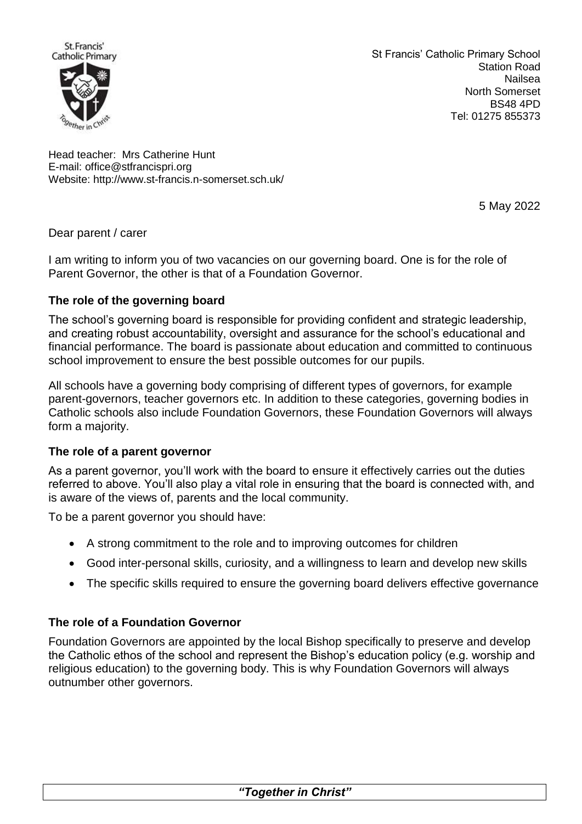

St Francis' Catholic Primary School Station Road Nailsea North Somerset BS48 4PD Tel: 01275 855373

Head teacher: Mrs Catherine Hunt E-mail: [office@stfrancispri.org](mailto:office@stfrancispri.org) Website:<http://www.st-francis.n-somerset.sch.uk/>

5 May 2022

## Dear parent / carer

I am writing to inform you of two vacancies on our governing board. One is for the role of Parent Governor, the other is that of a Foundation Governor.

# **The role of the governing board**

The school's governing board is responsible for providing confident and strategic leadership, and creating robust accountability, oversight and assurance for the school's educational and financial performance. The board is passionate about education and committed to continuous school improvement to ensure the best possible outcomes for our pupils.

All schools have a governing body comprising of different types of governors, for example parent-governors, teacher governors etc. In addition to these categories, governing bodies in Catholic schools also include Foundation Governors, these Foundation Governors will always form a majority.

## **The role of a parent governor**

As a parent governor, you'll work with the board to ensure it effectively carries out the duties referred to above. You'll also play a vital role in ensuring that the board is connected with, and is aware of the views of, parents and the local community.

To be a parent governor you should have:

- A strong commitment to the role and to improving outcomes for children
- Good inter-personal skills, curiosity, and a willingness to learn and develop new skills
- The specific skills required to ensure the governing board delivers effective governance

# **The role of a Foundation Governor**

Foundation Governors are appointed by the local Bishop specifically to preserve and develop the Catholic ethos of the school and represent the Bishop's education policy (e.g. worship and religious education) to the governing body. This is why Foundation Governors will always outnumber other governors.